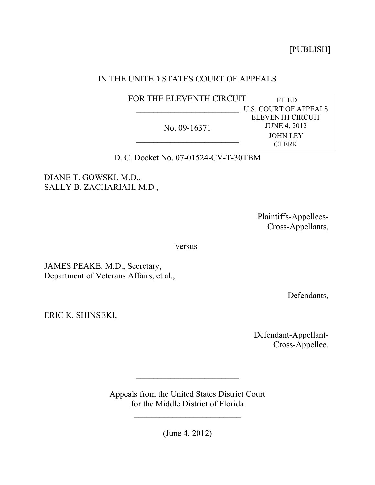[PUBLISH]

## IN THE UNITED STATES COURT OF APPEALS

| FOR THE ELEVENTH CIRCUIT | FILED                        |
|--------------------------|------------------------------|
|                          | <b>U.S. COURT OF APPEALS</b> |
| No. 09-16371             | ELEVENTH CIRCUIT             |
|                          | <b>JUNE 4, 2012</b>          |
|                          | <b>JOHN LEY</b>              |
|                          | <b>CLERK</b>                 |
|                          |                              |

D. C. Docket No. 07-01524-CV-T-30TBM

DIANE T. GOWSKI, M.D., SALLY B. ZACHARIAH, M.D.,

> Plaintiffs-Appellees-Cross-Appellants,

versus

JAMES PEAKE, M.D., Secretary, Department of Veterans Affairs, et al.,

Defendants,

ERIC K. SHINSEKI,

Defendant-Appellant-Cross-Appellee.

Appeals from the United States District Court for the Middle District of Florida

\_\_\_\_\_\_\_\_\_\_\_\_\_\_\_\_\_\_\_\_\_\_\_\_\_

 $\overline{\phantom{a}}$ 

(June 4, 2012)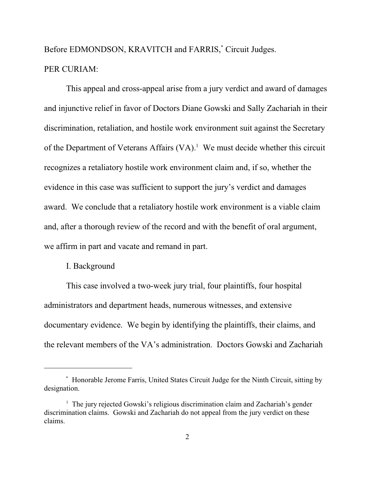# Before EDMONDSON, KRAVITCH and FARRIS,<sup>\*</sup> Circuit Judges.

## PER CURIAM:

This appeal and cross-appeal arise from a jury verdict and award of damages and injunctive relief in favor of Doctors Diane Gowski and Sally Zachariah in their discrimination, retaliation, and hostile work environment suit against the Secretary of the Department of Veterans Affairs  $(VA)^{1}$ . We must decide whether this circuit recognizes a retaliatory hostile work environment claim and, if so, whether the evidence in this case was sufficient to support the jury's verdict and damages award. We conclude that a retaliatory hostile work environment is a viable claim and, after a thorough review of the record and with the benefit of oral argument, we affirm in part and vacate and remand in part.

#### I. Background

This case involved a two-week jury trial, four plaintiffs, four hospital administrators and department heads, numerous witnesses, and extensive documentary evidence. We begin by identifying the plaintiffs, their claims, and the relevant members of the VA's administration. Doctors Gowski and Zachariah

Honorable Jerome Farris, United States Circuit Judge for the Ninth Circuit, sitting by \* designation.

 $1$  The jury rejected Gowski's religious discrimination claim and Zachariah's gender discrimination claims. Gowski and Zachariah do not appeal from the jury verdict on these claims.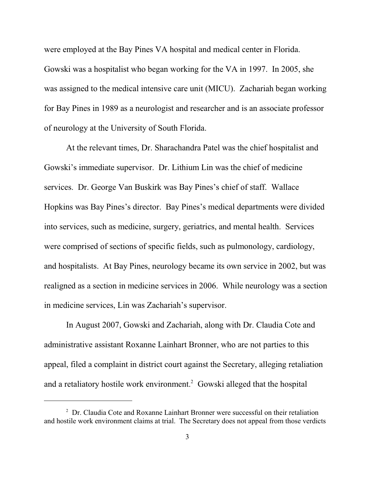were employed at the Bay Pines VA hospital and medical center in Florida. Gowski was a hospitalist who began working for the VA in 1997. In 2005, she was assigned to the medical intensive care unit (MICU). Zachariah began working for Bay Pines in 1989 as a neurologist and researcher and is an associate professor of neurology at the University of South Florida.

At the relevant times, Dr. Sharachandra Patel was the chief hospitalist and Gowski's immediate supervisor. Dr. Lithium Lin was the chief of medicine services. Dr. George Van Buskirk was Bay Pines's chief of staff. Wallace Hopkins was Bay Pines's director. Bay Pines's medical departments were divided into services, such as medicine, surgery, geriatrics, and mental health. Services were comprised of sections of specific fields, such as pulmonology, cardiology, and hospitalists. At Bay Pines, neurology became its own service in 2002, but was realigned as a section in medicine services in 2006. While neurology was a section in medicine services, Lin was Zachariah's supervisor.

In August 2007, Gowski and Zachariah, along with Dr. Claudia Cote and administrative assistant Roxanne Lainhart Bronner, who are not parties to this appeal, filed a complaint in district court against the Secretary, alleging retaliation and a retaliatory hostile work environment.<sup>2</sup> Gowski alleged that the hospital

<sup>&</sup>lt;sup>2</sup> Dr. Claudia Cote and Roxanne Lainhart Bronner were successful on their retaliation and hostile work environment claims at trial. The Secretary does not appeal from those verdicts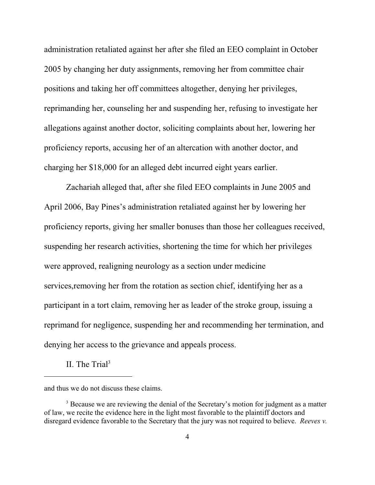administration retaliated against her after she filed an EEO complaint in October 2005 by changing her duty assignments, removing her from committee chair positions and taking her off committees altogether, denying her privileges, reprimanding her, counseling her and suspending her, refusing to investigate her allegations against another doctor, soliciting complaints about her, lowering her proficiency reports, accusing her of an altercation with another doctor, and charging her \$18,000 for an alleged debt incurred eight years earlier.

Zachariah alleged that, after she filed EEO complaints in June 2005 and April 2006, Bay Pines's administration retaliated against her by lowering her proficiency reports, giving her smaller bonuses than those her colleagues received, suspending her research activities, shortening the time for which her privileges were approved, realigning neurology as a section under medicine services,removing her from the rotation as section chief, identifying her as a participant in a tort claim, removing her as leader of the stroke group, issuing a reprimand for negligence, suspending her and recommending her termination, and denying her access to the grievance and appeals process.

II. The Trial<sup>3</sup>

and thus we do not discuss these claims.

<sup>&</sup>lt;sup>3</sup> Because we are reviewing the denial of the Secretary's motion for judgment as a matter of law, we recite the evidence here in the light most favorable to the plaintiff doctors and disregard evidence favorable to the Secretary that the jury was not required to believe. *Reeves v.*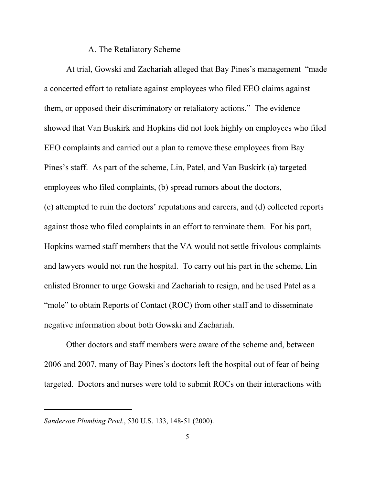#### A. The Retaliatory Scheme

At trial, Gowski and Zachariah alleged that Bay Pines's management "made a concerted effort to retaliate against employees who filed EEO claims against them, or opposed their discriminatory or retaliatory actions." The evidence showed that Van Buskirk and Hopkins did not look highly on employees who filed EEO complaints and carried out a plan to remove these employees from Bay Pines's staff. As part of the scheme, Lin, Patel, and Van Buskirk (a) targeted employees who filed complaints, (b) spread rumors about the doctors, (c) attempted to ruin the doctors' reputations and careers, and (d) collected reports against those who filed complaints in an effort to terminate them. For his part, Hopkins warned staff members that the VA would not settle frivolous complaints and lawyers would not run the hospital. To carry out his part in the scheme, Lin enlisted Bronner to urge Gowski and Zachariah to resign, and he used Patel as a "mole" to obtain Reports of Contact (ROC) from other staff and to disseminate negative information about both Gowski and Zachariah.

Other doctors and staff members were aware of the scheme and, between 2006 and 2007, many of Bay Pines's doctors left the hospital out of fear of being targeted. Doctors and nurses were told to submit ROCs on their interactions with

*Sanderson Plumbing Prod.*, 530 U.S. 133, 148-51 (2000).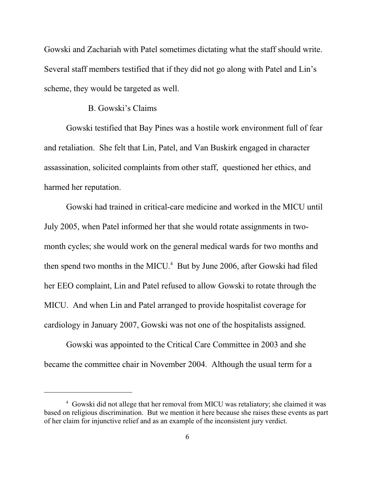Gowski and Zachariah with Patel sometimes dictating what the staff should write. Several staff members testified that if they did not go along with Patel and Lin's scheme, they would be targeted as well.

## B. Gowski's Claims

Gowski testified that Bay Pines was a hostile work environment full of fear and retaliation. She felt that Lin, Patel, and Van Buskirk engaged in character assassination, solicited complaints from other staff, questioned her ethics, and harmed her reputation.

Gowski had trained in critical-care medicine and worked in the MICU until July 2005, when Patel informed her that she would rotate assignments in twomonth cycles; she would work on the general medical wards for two months and then spend two months in the MICU.<sup>4</sup> But by June 2006, after Gowski had filed her EEO complaint, Lin and Patel refused to allow Gowski to rotate through the MICU. And when Lin and Patel arranged to provide hospitalist coverage for cardiology in January 2007, Gowski was not one of the hospitalists assigned.

Gowski was appointed to the Critical Care Committee in 2003 and she became the committee chair in November 2004. Although the usual term for a

<sup>&</sup>lt;sup>4</sup> Gowski did not allege that her removal from MICU was retaliatory; she claimed it was based on religious discrimination. But we mention it here because she raises these events as part of her claim for injunctive relief and as an example of the inconsistent jury verdict.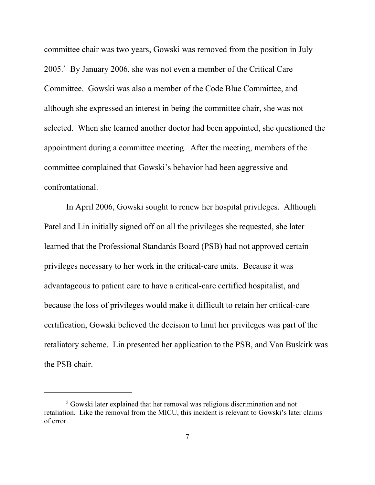committee chair was two years, Gowski was removed from the position in July 2005.<sup>5</sup> By January 2006, she was not even a member of the Critical Care Committee. Gowski was also a member of the Code Blue Committee, and although she expressed an interest in being the committee chair, she was not selected. When she learned another doctor had been appointed, she questioned the appointment during a committee meeting. After the meeting, members of the committee complained that Gowski's behavior had been aggressive and confrontational.

In April 2006, Gowski sought to renew her hospital privileges. Although Patel and Lin initially signed off on all the privileges she requested, she later learned that the Professional Standards Board (PSB) had not approved certain privileges necessary to her work in the critical-care units. Because it was advantageous to patient care to have a critical-care certified hospitalist, and because the loss of privileges would make it difficult to retain her critical-care certification, Gowski believed the decision to limit her privileges was part of the retaliatory scheme. Lin presented her application to the PSB, and Van Buskirk was the PSB chair.

 $5$  Gowski later explained that her removal was religious discrimination and not retaliation. Like the removal from the MICU, this incident is relevant to Gowski's later claims of error.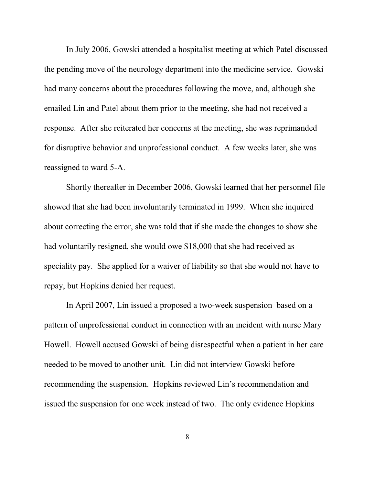In July 2006, Gowski attended a hospitalist meeting at which Patel discussed the pending move of the neurology department into the medicine service. Gowski had many concerns about the procedures following the move, and, although she emailed Lin and Patel about them prior to the meeting, she had not received a response. After she reiterated her concerns at the meeting, she was reprimanded for disruptive behavior and unprofessional conduct. A few weeks later, she was reassigned to ward 5-A.

Shortly thereafter in December 2006, Gowski learned that her personnel file showed that she had been involuntarily terminated in 1999. When she inquired about correcting the error, she was told that if she made the changes to show she had voluntarily resigned, she would owe \$18,000 that she had received as speciality pay. She applied for a waiver of liability so that she would not have to repay, but Hopkins denied her request.

In April 2007, Lin issued a proposed a two-week suspension based on a pattern of unprofessional conduct in connection with an incident with nurse Mary Howell. Howell accused Gowski of being disrespectful when a patient in her care needed to be moved to another unit. Lin did not interview Gowski before recommending the suspension. Hopkins reviewed Lin's recommendation and issued the suspension for one week instead of two. The only evidence Hopkins

8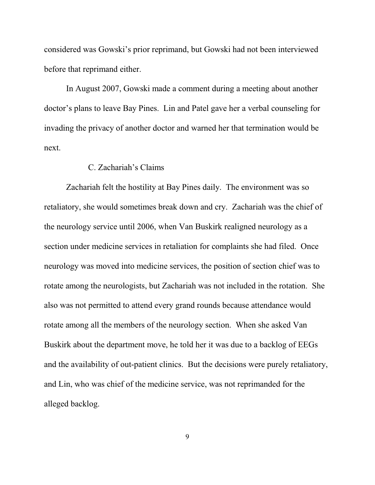considered was Gowski's prior reprimand, but Gowski had not been interviewed before that reprimand either.

In August 2007, Gowski made a comment during a meeting about another doctor's plans to leave Bay Pines. Lin and Patel gave her a verbal counseling for invading the privacy of another doctor and warned her that termination would be next.

## C. Zachariah's Claims

Zachariah felt the hostility at Bay Pines daily. The environment was so retaliatory, she would sometimes break down and cry. Zachariah was the chief of the neurology service until 2006, when Van Buskirk realigned neurology as a section under medicine services in retaliation for complaints she had filed. Once neurology was moved into medicine services, the position of section chief was to rotate among the neurologists, but Zachariah was not included in the rotation. She also was not permitted to attend every grand rounds because attendance would rotate among all the members of the neurology section. When she asked Van Buskirk about the department move, he told her it was due to a backlog of EEGs and the availability of out-patient clinics. But the decisions were purely retaliatory, and Lin, who was chief of the medicine service, was not reprimanded for the alleged backlog.

9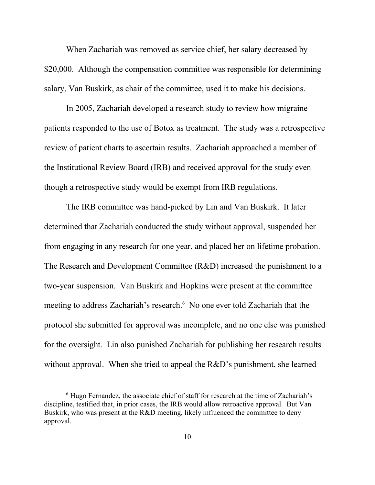When Zachariah was removed as service chief, her salary decreased by \$20,000. Although the compensation committee was responsible for determining salary, Van Buskirk, as chair of the committee, used it to make his decisions.

In 2005, Zachariah developed a research study to review how migraine patients responded to the use of Botox as treatment. The study was a retrospective review of patient charts to ascertain results. Zachariah approached a member of the Institutional Review Board (IRB) and received approval for the study even though a retrospective study would be exempt from IRB regulations.

The IRB committee was hand-picked by Lin and Van Buskirk. It later determined that Zachariah conducted the study without approval, suspended her from engaging in any research for one year, and placed her on lifetime probation. The Research and Development Committee (R&D) increased the punishment to a two-year suspension. Van Buskirk and Hopkins were present at the committee meeting to address Zachariah's research.<sup>6</sup> No one ever told Zachariah that the protocol she submitted for approval was incomplete, and no one else was punished for the oversight. Lin also punished Zachariah for publishing her research results without approval. When she tried to appeal the R&D's punishment, she learned

 $6$  Hugo Fernandez, the associate chief of staff for research at the time of Zachariah's discipline, testified that, in prior cases, the IRB would allow retroactive approval. But Van Buskirk, who was present at the R&D meeting, likely influenced the committee to deny approval.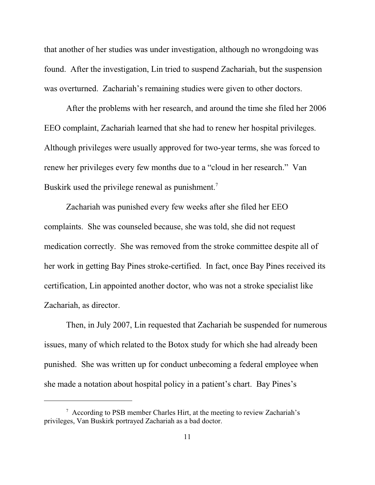that another of her studies was under investigation, although no wrongdoing was found. After the investigation, Lin tried to suspend Zachariah, but the suspension was overturned. Zachariah's remaining studies were given to other doctors.

After the problems with her research, and around the time she filed her 2006 EEO complaint, Zachariah learned that she had to renew her hospital privileges. Although privileges were usually approved for two-year terms, she was forced to renew her privileges every few months due to a "cloud in her research." Van Buskirk used the privilege renewal as punishment.<sup>7</sup>

Zachariah was punished every few weeks after she filed her EEO complaints. She was counseled because, she was told, she did not request medication correctly. She was removed from the stroke committee despite all of her work in getting Bay Pines stroke-certified. In fact, once Bay Pines received its certification, Lin appointed another doctor, who was not a stroke specialist like Zachariah, as director.

Then, in July 2007, Lin requested that Zachariah be suspended for numerous issues, many of which related to the Botox study for which she had already been punished. She was written up for conduct unbecoming a federal employee when she made a notation about hospital policy in a patient's chart. Bay Pines's

 $\frac{7}{7}$  According to PSB member Charles Hirt, at the meeting to review Zachariah's privileges, Van Buskirk portrayed Zachariah as a bad doctor.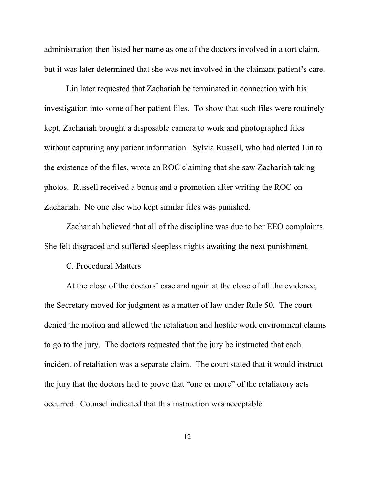administration then listed her name as one of the doctors involved in a tort claim, but it was later determined that she was not involved in the claimant patient's care.

Lin later requested that Zachariah be terminated in connection with his investigation into some of her patient files. To show that such files were routinely kept, Zachariah brought a disposable camera to work and photographed files without capturing any patient information. Sylvia Russell, who had alerted Lin to the existence of the files, wrote an ROC claiming that she saw Zachariah taking photos. Russell received a bonus and a promotion after writing the ROC on Zachariah. No one else who kept similar files was punished.

Zachariah believed that all of the discipline was due to her EEO complaints. She felt disgraced and suffered sleepless nights awaiting the next punishment.

#### C. Procedural Matters

At the close of the doctors' case and again at the close of all the evidence, the Secretary moved for judgment as a matter of law under Rule 50. The court denied the motion and allowed the retaliation and hostile work environment claims to go to the jury. The doctors requested that the jury be instructed that each incident of retaliation was a separate claim. The court stated that it would instruct the jury that the doctors had to prove that "one or more" of the retaliatory acts occurred. Counsel indicated that this instruction was acceptable.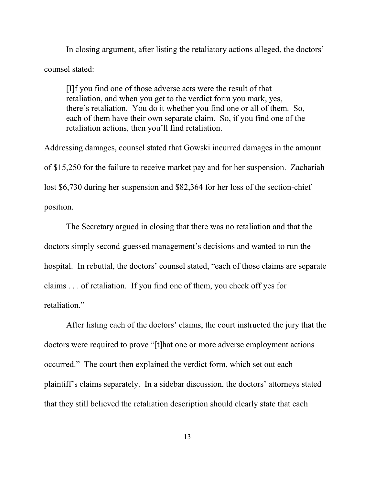In closing argument, after listing the retaliatory actions alleged, the doctors' counsel stated:

[I]f you find one of those adverse acts were the result of that retaliation, and when you get to the verdict form you mark, yes, there's retaliation. You do it whether you find one or all of them. So, each of them have their own separate claim. So, if you find one of the retaliation actions, then you'll find retaliation.

Addressing damages, counsel stated that Gowski incurred damages in the amount of \$15,250 for the failure to receive market pay and for her suspension. Zachariah lost \$6,730 during her suspension and \$82,364 for her loss of the section-chief position.

The Secretary argued in closing that there was no retaliation and that the doctors simply second-guessed management's decisions and wanted to run the hospital. In rebuttal, the doctors' counsel stated, "each of those claims are separate claims . . . of retaliation. If you find one of them, you check off yes for retaliation."

After listing each of the doctors' claims, the court instructed the jury that the doctors were required to prove "[t]hat one or more adverse employment actions occurred." The court then explained the verdict form, which set out each plaintiff's claims separately. In a sidebar discussion, the doctors' attorneys stated that they still believed the retaliation description should clearly state that each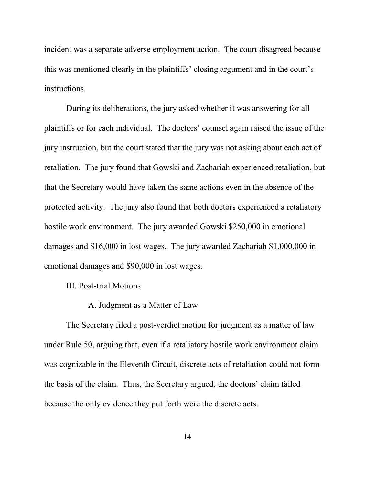incident was a separate adverse employment action. The court disagreed because this was mentioned clearly in the plaintiffs' closing argument and in the court's instructions.

During its deliberations, the jury asked whether it was answering for all plaintiffs or for each individual. The doctors' counsel again raised the issue of the jury instruction, but the court stated that the jury was not asking about each act of retaliation. The jury found that Gowski and Zachariah experienced retaliation, but that the Secretary would have taken the same actions even in the absence of the protected activity. The jury also found that both doctors experienced a retaliatory hostile work environment. The jury awarded Gowski \$250,000 in emotional damages and \$16,000 in lost wages. The jury awarded Zachariah \$1,000,000 in emotional damages and \$90,000 in lost wages.

III. Post-trial Motions

A. Judgment as a Matter of Law

The Secretary filed a post-verdict motion for judgment as a matter of law under Rule 50, arguing that, even if a retaliatory hostile work environment claim was cognizable in the Eleventh Circuit, discrete acts of retaliation could not form the basis of the claim. Thus, the Secretary argued, the doctors' claim failed because the only evidence they put forth were the discrete acts.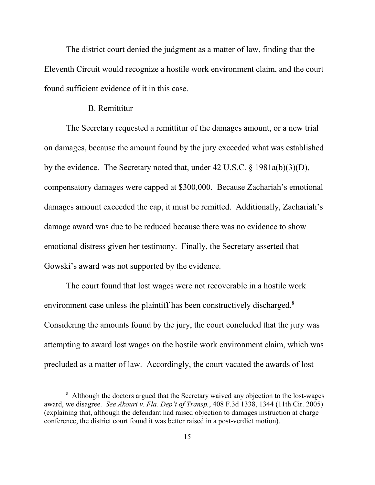The district court denied the judgment as a matter of law, finding that the Eleventh Circuit would recognize a hostile work environment claim, and the court found sufficient evidence of it in this case.

#### B. Remittitur

The Secretary requested a remittitur of the damages amount, or a new trial on damages, because the amount found by the jury exceeded what was established by the evidence. The Secretary noted that, under 42 U.S.C. § 1981a(b)(3)(D), compensatory damages were capped at \$300,000. Because Zachariah's emotional damages amount exceeded the cap, it must be remitted. Additionally, Zachariah's damage award was due to be reduced because there was no evidence to show emotional distress given her testimony. Finally, the Secretary asserted that Gowski's award was not supported by the evidence.

The court found that lost wages were not recoverable in a hostile work environment case unless the plaintiff has been constructively discharged.<sup>8</sup> Considering the amounts found by the jury, the court concluded that the jury was attempting to award lost wages on the hostile work environment claim, which was precluded as a matter of law. Accordingly, the court vacated the awards of lost

<sup>&</sup>lt;sup>8</sup> Although the doctors argued that the Secretary waived any objection to the lost-wages award, we disagree. *See Akouri v. Fla. Dep't of Transp.*, 408 F.3d 1338, 1344 (11th Cir. 2005) (explaining that, although the defendant had raised objection to damages instruction at charge conference, the district court found it was better raised in a post-verdict motion).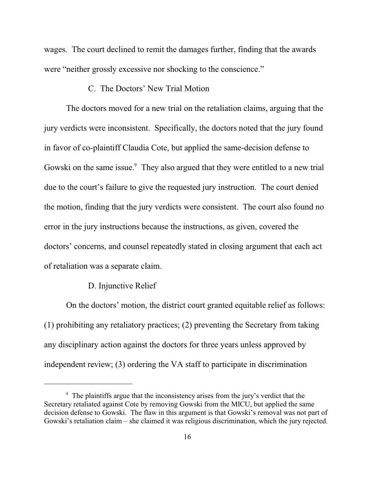wages. The court declined to remit the damages further, finding that the awards were "neither grossly excessive nor shocking to the conscience."

## C. The Doctors' New Trial Motion

The doctors moved for a new trial on the retaliation claims, arguing that the jury verdicts were inconsistent. Specifically, the doctors noted that the jury found in favor of co-plaintiff Claudia Cote, but applied the same-decision defense to Gowski on the same issue.<sup>9</sup> They also argued that they were entitled to a new trial due to the court's failure to give the requested jury instruction. The court denied the motion, finding that the jury verdicts were consistent. The court also found no error in the jury instructions because the instructions, as given, covered the doctors' concerns, and counsel repeatedly stated in closing argument that each act of retaliation was a separate claim.

#### D. Injunctive Relief

On the doctors' motion, the district court granted equitable relief as follows: (1) prohibiting any retaliatory practices; (2) preventing the Secretary from taking any disciplinary action against the doctors for three years unless approved by independent review; (3) ordering the VA staff to participate in discrimination

<sup>&</sup>lt;sup>9</sup> The plaintiffs argue that the inconsistency arises from the jury's verdict that the Secretary retaliated against Cote by removing Gowski from the MICU, but applied the same decision defense to Gowski. The flaw in this argument is that Gowski's removal was not part of Gowski's retaliation claim – she claimed it was religious discrimination, which the jury rejected.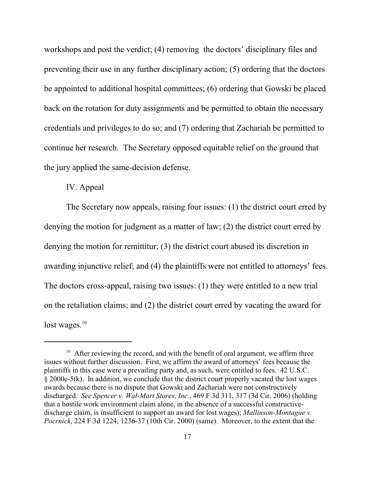workshops and post the verdict; (4) removing the doctors' disciplinary files and preventing their use in any further disciplinary action; (5) ordering that the doctors be appointed to additional hospital committees; (6) ordering that Gowski be placed back on the rotation for duty assignments and be permitted to obtain the necessary credentials and privileges to do so; and (7) ordering that Zachariah be permitted to continue her research. The Secretary opposed equitable relief on the ground that the jury applied the same-decision defense.

## IV. Appeal

The Secretary now appeals, raising four issues: (1) the district court erred by denying the motion for judgment as a matter of law; (2) the district court erred by denying the motion for remittitur; (3) the district court abused its discretion in awarding injunctive relief; and (4) the plaintiffs were not entitled to attorneys' fees. The doctors cross-appeal, raising two issues: (1) they were entitled to a new trial on the retaliation claims; and (2) the district court erred by vacating the award for lost wages. $10$ 

<sup>&</sup>lt;sup>10</sup> After reviewing the record, and with the benefit of oral argument, we affirm three issues without further discussion. First, we affirm the award of attorneys' fees because the plaintiffs in this case were a prevailing party and, as such, were entitled to fees. 42 U.S.C. § 2000e-5(k). In addition, we conclude that the district court properly vacated the lost wages awards because there is no dispute that Gowski and Zachariah were not constructively discharged. *See Spencer v. Wal-Mart Stores, Inc.*, 469 F.3d 311, 317 (3d Cir. 2006) (holding that a hostile work environment claim alone, in the absence of a successful constructivedischarge claim, is insufficient to support an award for lost wages); *Mallinson-Montague v. Pocrnick*, 224 F.3d 1224, 1236-37 (10th Cir. 2000) (same). Moreover, to the extent that the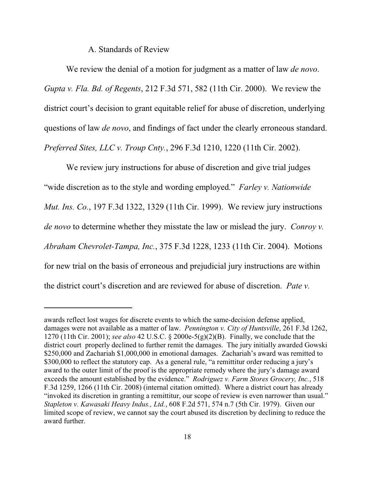A. Standards of Review

We review the denial of a motion for judgment as a matter of law *de novo*. *Gupta v. Fla. Bd. of Regents*, 212 F.3d 571, 582 (11th Cir. 2000). We review the district court's decision to grant equitable relief for abuse of discretion, underlying questions of law *de novo*, and findings of fact under the clearly erroneous standard. *Preferred Sites, LLC v. Troup Cnty.*, 296 F.3d 1210, 1220 (11th Cir. 2002).

We review jury instructions for abuse of discretion and give trial judges "wide discretion as to the style and wording employed." *Farley v. Nationwide Mut. Ins. Co.*, 197 F.3d 1322, 1329 (11th Cir. 1999). We review jury instructions *de novo* to determine whether they misstate the law or mislead the jury. *Conroy v. Abraham Chevrolet-Tampa, Inc.*, 375 F.3d 1228, 1233 (11th Cir. 2004). Motions for new trial on the basis of erroneous and prejudicial jury instructions are within the district court's discretion and are reviewed for abuse of discretion. *Pate v.*

awards reflect lost wages for discrete events to which the same-decision defense applied, damages were not available as a matter of law. *Pennington v. City of Huntsville*, 261 F.3d 1262, 1270 (11th Cir. 2001); *see also* 42 U.S.C. § 2000e-5(g)(2)(B). Finally, we conclude that the district court properly declined to further remit the damages. The jury initially awarded Gowski \$250,000 and Zachariah \$1,000,000 in emotional damages. Zachariah's award was remitted to \$300,000 to reflect the statutory cap. As a general rule, "a remittitur order reducing a jury's award to the outer limit of the proof is the appropriate remedy where the jury's damage award exceeds the amount established by the evidence." *Rodriguez v. Farm Stores Grocery, Inc.*, 518 F.3d 1259, 1266 (11th Cir. 2008) (internal citation omitted). Where a district court has already "invoked its discretion in granting a remittitur, our scope of review is even narrower than usual." *Stapleton v. Kawasaki Heavy Indus., Ltd.*, 608 F.2d 571, 574 n.7 (5th Cir. 1979). Given our limited scope of review, we cannot say the court abused its discretion by declining to reduce the award further.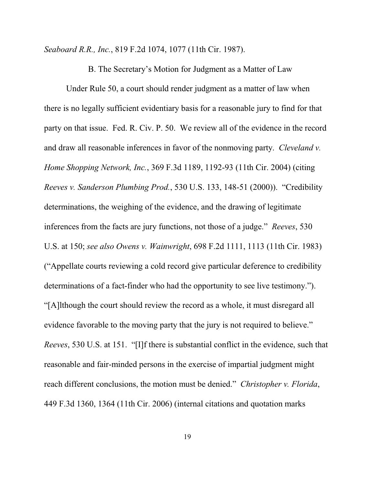*Seaboard R.R., Inc.*, 819 F.2d 1074, 1077 (11th Cir. 1987).

B. The Secretary's Motion for Judgment as a Matter of Law

Under Rule 50, a court should render judgment as a matter of law when there is no legally sufficient evidentiary basis for a reasonable jury to find for that party on that issue. Fed. R. Civ. P. 50. We review all of the evidence in the record and draw all reasonable inferences in favor of the nonmoving party. *Cleveland v. Home Shopping Network, Inc.*, 369 F.3d 1189, 1192-93 (11th Cir. 2004) (citing *Reeves v. Sanderson Plumbing Prod.*, 530 U.S. 133, 148-51 (2000)). "Credibility determinations, the weighing of the evidence, and the drawing of legitimate inferences from the facts are jury functions, not those of a judge." *Reeves*, 530 U.S. at 150; *see also Owens v. Wainwright*, 698 F.2d 1111, 1113 (11th Cir. 1983) ("Appellate courts reviewing a cold record give particular deference to credibility determinations of a fact-finder who had the opportunity to see live testimony."). "[A]lthough the court should review the record as a whole, it must disregard all evidence favorable to the moving party that the jury is not required to believe." *Reeves*, 530 U.S. at 151. "[I]f there is substantial conflict in the evidence, such that reasonable and fair-minded persons in the exercise of impartial judgment might reach different conclusions, the motion must be denied." *Christopher v. Florida*, 449 F.3d 1360, 1364 (11th Cir. 2006) (internal citations and quotation marks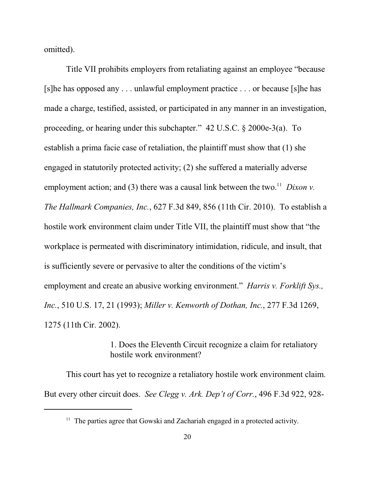omitted).

Title VII prohibits employers from retaliating against an employee "because [s]he has opposed any . . . unlawful employment practice . . . or because [s]he has made a charge, testified, assisted, or participated in any manner in an investigation, proceeding, or hearing under this subchapter." 42 U.S.C. § 2000e-3(a). To establish a prima facie case of retaliation, the plaintiff must show that (1) she engaged in statutorily protected activity; (2) she suffered a materially adverse employment action; and (3) there was a causal link between the two.<sup>11</sup> Dixon v. *The Hallmark Companies, Inc.*, 627 F.3d 849, 856 (11th Cir. 2010). To establish a hostile work environment claim under Title VII, the plaintiff must show that "the workplace is permeated with discriminatory intimidation, ridicule, and insult, that is sufficiently severe or pervasive to alter the conditions of the victim's employment and create an abusive working environment." *Harris v. Forklift Sys., Inc.*, 510 U.S. 17, 21 (1993); *Miller v. Kenworth of Dothan, Inc.*, 277 F.3d 1269, 1275 (11th Cir. 2002).

> 1. Does the Eleventh Circuit recognize a claim for retaliatory hostile work environment?

This court has yet to recognize a retaliatory hostile work environment claim. But every other circuit does. *See Clegg v. Ark. Dep't of Corr.*, 496 F.3d 922, 928-

 $11$  The parties agree that Gowski and Zachariah engaged in a protected activity.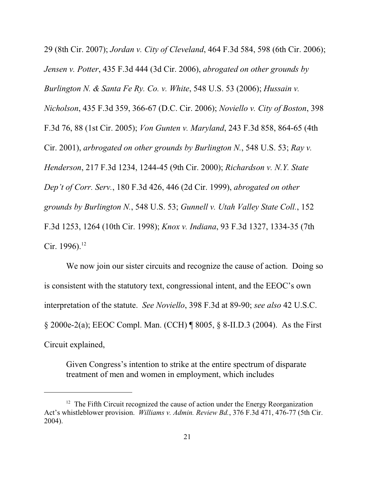29 (8th Cir. 2007); *Jordan v. City of Cleveland*, 464 F.3d 584, 598 (6th Cir. 2006); *Jensen v. Potter*, 435 F.3d 444 (3d Cir. 2006), *abrogated on other grounds by Burlington N. & Santa Fe Ry. Co. v. White*, 548 U.S. 53 (2006); *Hussain v. Nicholson*, 435 F.3d 359, 366-67 (D.C. Cir. 2006); *Noviello v. City of Boston*, 398 F.3d 76, 88 (1st Cir. 2005); *Von Gunten v. Maryland*, 243 F.3d 858, 864-65 (4th Cir. 2001), *arbrogated on other grounds by Burlington N.*, 548 U.S. 53; *Ray v. Henderson*, 217 F.3d 1234, 1244-45 (9th Cir. 2000); *Richardson v. N.Y. State Dep't of Corr. Serv.*, 180 F.3d 426, 446 (2d Cir. 1999), *abrogated on other grounds by Burlington N.*, 548 U.S. 53; *Gunnell v. Utah Valley State Coll.*, 152 F.3d 1253, 1264 (10th Cir. 1998); *Knox v. Indiana*, 93 F.3d 1327, 1334-35 (7th Cir. 1996).<sup>12</sup>

We now join our sister circuits and recognize the cause of action. Doing so is consistent with the statutory text, congressional intent, and the EEOC's own interpretation of the statute. *See Noviello*, 398 F.3d at 89-90; *see also* 42 U.S.C. § 2000e-2(a); EEOC Compl. Man. (CCH) ¶ 8005, § 8-II.D.3 (2004). As the First Circuit explained,

Given Congress's intention to strike at the entire spectrum of disparate treatment of men and women in employment, which includes

 $12$  The Fifth Circuit recognized the cause of action under the Energy Reorganization Act's whistleblower provision. *Williams v. Admin. Review Bd.*, 376 F.3d 471, 476-77 (5th Cir. 2004).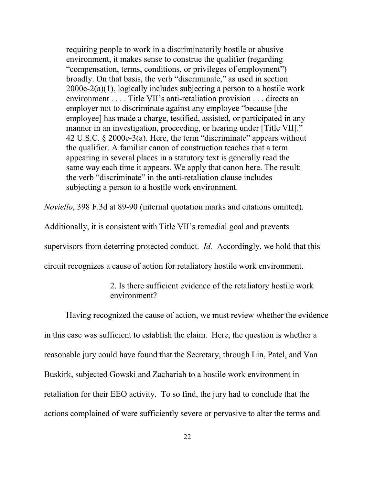requiring people to work in a discriminatorily hostile or abusive environment, it makes sense to construe the qualifier (regarding "compensation, terms, conditions, or privileges of employment") broadly. On that basis, the verb "discriminate," as used in section 2000e-2(a)(1), logically includes subjecting a person to a hostile work environment . . . . Title VII's anti-retaliation provision . . . directs an employer not to discriminate against any employee "because [the employee] has made a charge, testified, assisted, or participated in any manner in an investigation, proceeding, or hearing under [Title VII]." 42 U.S.C. § 2000e-3(a). Here, the term "discriminate" appears without the qualifier. A familiar canon of construction teaches that a term appearing in several places in a statutory text is generally read the same way each time it appears. We apply that canon here. The result: the verb "discriminate" in the anti-retaliation clause includes subjecting a person to a hostile work environment.

*Noviello*, 398 F.3d at 89-90 (internal quotation marks and citations omitted).

Additionally, it is consistent with Title VII's remedial goal and prevents supervisors from deterring protected conduct. *Id.* Accordingly, we hold that this circuit recognizes a cause of action for retaliatory hostile work environment.

> 2. Is there sufficient evidence of the retaliatory hostile work environment?

Having recognized the cause of action, we must review whether the evidence in this case was sufficient to establish the claim. Here, the question is whether a reasonable jury could have found that the Secretary, through Lin, Patel, and Van Buskirk, subjected Gowski and Zachariah to a hostile work environment in retaliation for their EEO activity. To so find, the jury had to conclude that the actions complained of were sufficiently severe or pervasive to alter the terms and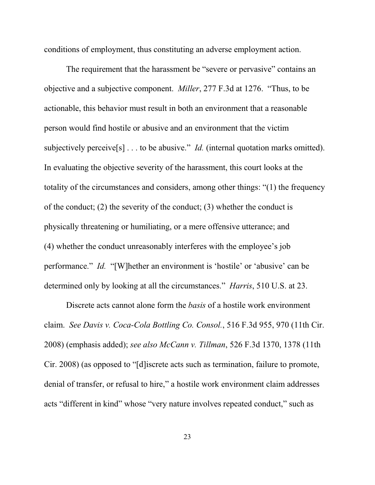conditions of employment, thus constituting an adverse employment action.

The requirement that the harassment be "severe or pervasive" contains an objective and a subjective component. *Miller*, 277 F.3d at 1276. "Thus, to be actionable, this behavior must result in both an environment that a reasonable person would find hostile or abusive and an environment that the victim subjectively perceive<sup>[s]</sup> . . . to be abusive." *Id.* (internal quotation marks omitted). In evaluating the objective severity of the harassment, this court looks at the totality of the circumstances and considers, among other things: "(1) the frequency of the conduct; (2) the severity of the conduct; (3) whether the conduct is physically threatening or humiliating, or a mere offensive utterance; and (4) whether the conduct unreasonably interferes with the employee's job performance." *Id.* "[W]hether an environment is 'hostile' or 'abusive' can be determined only by looking at all the circumstances." *Harris*, 510 U.S. at 23.

Discrete acts cannot alone form the *basis* of a hostile work environment claim. *See Davis v. Coca-Cola Bottling Co. Consol.*, 516 F.3d 955, 970 (11th Cir. 2008) (emphasis added); *see also McCann v. Tillman*, 526 F.3d 1370, 1378 (11th Cir. 2008) (as opposed to "[d]iscrete acts such as termination, failure to promote, denial of transfer, or refusal to hire," a hostile work environment claim addresses acts "different in kind" whose "very nature involves repeated conduct," such as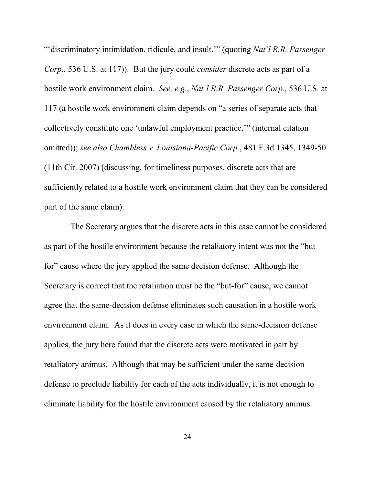"'discriminatory intimidation, ridicule, and insult.'" (quoting *Nat'l R.R. Passenger Corp.*, 536 U.S. at 117)). But the jury could *consider* discrete acts as part of a hostile work environment claim. *See, e.g.*, *Nat'l R.R. Passenger Corp.*, 536 U.S. at 117 (a hostile work environment claim depends on "a series of separate acts that collectively constitute one 'unlawful employment practice.'" (internal citation omitted)); *see also Chambless v. Louisiana-Pacific Corp.*, 481 F.3d 1345, 1349-50 (11th Cir. 2007) (discussing, for timeliness purposes, discrete acts that are sufficiently related to a hostile work environment claim that they can be considered part of the same claim).

 The Secretary argues that the discrete acts in this case cannot be considered as part of the hostile environment because the retaliatory intent was not the "butfor" cause where the jury applied the same decision defense. Although the Secretary is correct that the retaliation must be the "but-for" cause, we cannot agree that the same-decision defense eliminates such causation in a hostile work environment claim. As it does in every case in which the same-decision defense applies, the jury here found that the discrete acts were motivated in part by retaliatory animus. Although that may be sufficient under the same-decision defense to preclude liability for each of the acts individually, it is not enough to eliminate liability for the hostile environment caused by the retaliatory animus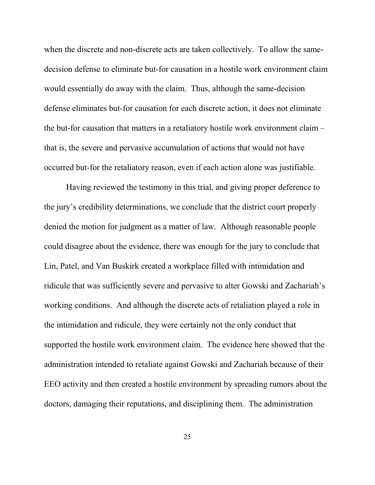when the discrete and non-discrete acts are taken collectively. To allow the samedecision defense to eliminate but-for causation in a hostile work environment claim would essentially do away with the claim. Thus, although the same-decision defense eliminates but-for causation for each discrete action, it does not eliminate the but-for causation that matters in a retaliatory hostile work environment claim – that is, the severe and pervasive accumulation of actions that would not have occurred but-for the retaliatory reason, even if each action alone was justifiable.

Having reviewed the testimony in this trial, and giving proper deference to the jury's credibility determinations, we conclude that the district court properly denied the motion for judgment as a matter of law. Although reasonable people could disagree about the evidence, there was enough for the jury to conclude that Lin, Patel, and Van Buskirk created a workplace filled with intimidation and ridicule that was sufficiently severe and pervasive to alter Gowski and Zachariah's working conditions. And although the discrete acts of retaliation played a role in the intimidation and ridicule, they were certainly not the only conduct that supported the hostile work environment claim. The evidence here showed that the administration intended to retaliate against Gowski and Zachariah because of their EEO activity and then created a hostile environment by spreading rumors about the doctors, damaging their reputations, and disciplining them. The administration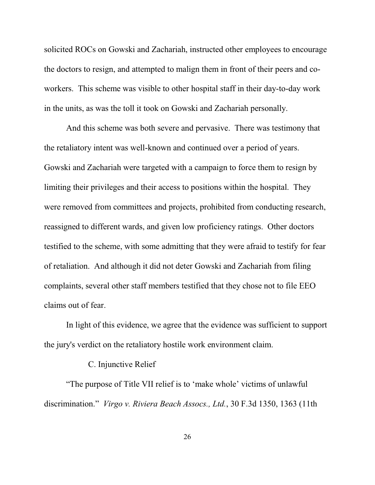solicited ROCs on Gowski and Zachariah, instructed other employees to encourage the doctors to resign, and attempted to malign them in front of their peers and coworkers. This scheme was visible to other hospital staff in their day-to-day work in the units, as was the toll it took on Gowski and Zachariah personally.

And this scheme was both severe and pervasive. There was testimony that the retaliatory intent was well-known and continued over a period of years. Gowski and Zachariah were targeted with a campaign to force them to resign by limiting their privileges and their access to positions within the hospital. They were removed from committees and projects, prohibited from conducting research, reassigned to different wards, and given low proficiency ratings. Other doctors testified to the scheme, with some admitting that they were afraid to testify for fear of retaliation. And although it did not deter Gowski and Zachariah from filing complaints, several other staff members testified that they chose not to file EEO claims out of fear.

In light of this evidence, we agree that the evidence was sufficient to support the jury's verdict on the retaliatory hostile work environment claim.

## C. Injunctive Relief

"The purpose of Title VII relief is to 'make whole' victims of unlawful discrimination." *Virgo v. Riviera Beach Assocs., Ltd.*, 30 F.3d 1350, 1363 (11th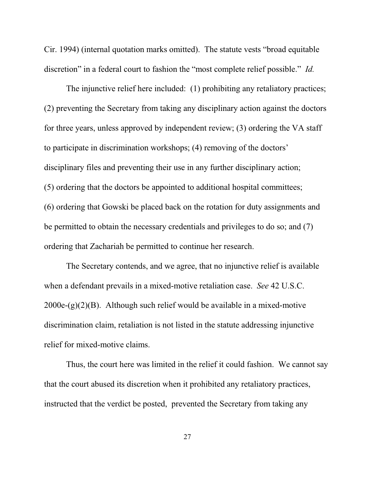Cir. 1994) (internal quotation marks omitted). The statute vests "broad equitable discretion" in a federal court to fashion the "most complete relief possible." *Id.*

The injunctive relief here included: (1) prohibiting any retaliatory practices; (2) preventing the Secretary from taking any disciplinary action against the doctors for three years, unless approved by independent review; (3) ordering the VA staff to participate in discrimination workshops; (4) removing of the doctors' disciplinary files and preventing their use in any further disciplinary action; (5) ordering that the doctors be appointed to additional hospital committees; (6) ordering that Gowski be placed back on the rotation for duty assignments and be permitted to obtain the necessary credentials and privileges to do so; and (7) ordering that Zachariah be permitted to continue her research.

The Secretary contends, and we agree, that no injunctive relief is available when a defendant prevails in a mixed-motive retaliation case. *See* 42 U.S.C. 2000e-(g)(2)(B). Although such relief would be available in a mixed-motive discrimination claim, retaliation is not listed in the statute addressing injunctive relief for mixed-motive claims.

Thus, the court here was limited in the relief it could fashion. We cannot say that the court abused its discretion when it prohibited any retaliatory practices, instructed that the verdict be posted, prevented the Secretary from taking any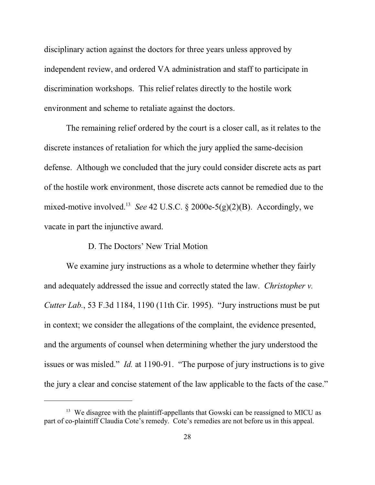disciplinary action against the doctors for three years unless approved by independent review, and ordered VA administration and staff to participate in discrimination workshops. This relief relates directly to the hostile work environment and scheme to retaliate against the doctors.

The remaining relief ordered by the court is a closer call, as it relates to the discrete instances of retaliation for which the jury applied the same-decision defense. Although we concluded that the jury could consider discrete acts as part of the hostile work environment, those discrete acts cannot be remedied due to the mixed-motive involved.<sup>13</sup> See 42 U.S.C. § 2000e-5(g)(2)(B). Accordingly, we vacate in part the injunctive award.

## D. The Doctors' New Trial Motion

We examine jury instructions as a whole to determine whether they fairly and adequately addressed the issue and correctly stated the law. *Christopher v. Cutter Lab.*, 53 F.3d 1184, 1190 (11th Cir. 1995). "Jury instructions must be put in context; we consider the allegations of the complaint, the evidence presented, and the arguments of counsel when determining whether the jury understood the issues or was misled." *Id.* at 1190-91. "The purpose of jury instructions is to give the jury a clear and concise statement of the law applicable to the facts of the case."

 $13$  We disagree with the plaintiff-appellants that Gowski can be reassigned to MICU as part of co-plaintiff Claudia Cote's remedy. Cote's remedies are not before us in this appeal.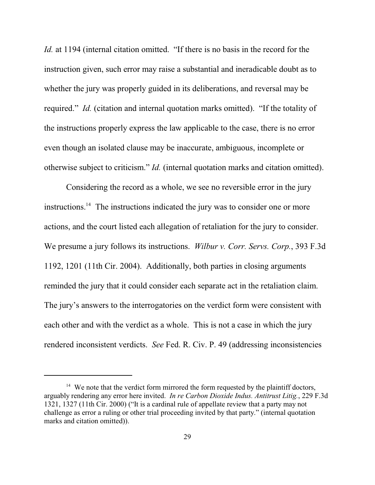*Id.* at 1194 (internal citation omitted. "If there is no basis in the record for the instruction given, such error may raise a substantial and ineradicable doubt as to whether the jury was properly guided in its deliberations, and reversal may be required." *Id.* (citation and internal quotation marks omitted). "If the totality of the instructions properly express the law applicable to the case, there is no error even though an isolated clause may be inaccurate, ambiguous, incomplete or otherwise subject to criticism." *Id.* (internal quotation marks and citation omitted).

Considering the record as a whole, we see no reversible error in the jury instructions.<sup>14</sup> The instructions indicated the jury was to consider one or more actions, and the court listed each allegation of retaliation for the jury to consider. We presume a jury follows its instructions. *Wilbur v. Corr. Servs. Corp.*, 393 F.3d 1192, 1201 (11th Cir. 2004). Additionally, both parties in closing arguments reminded the jury that it could consider each separate act in the retaliation claim. The jury's answers to the interrogatories on the verdict form were consistent with each other and with the verdict as a whole. This is not a case in which the jury rendered inconsistent verdicts. *See* Fed. R. Civ. P. 49 (addressing inconsistencies

 $14$  We note that the verdict form mirrored the form requested by the plaintiff doctors, arguably rendering any error here invited. *In re Carbon Dioxide Indus. Antitrust Litig.*, 229 F.3d 1321, 1327 (11th Cir. 2000) ("It is a cardinal rule of appellate review that a party may not challenge as error a ruling or other trial proceeding invited by that party." (internal quotation marks and citation omitted)).